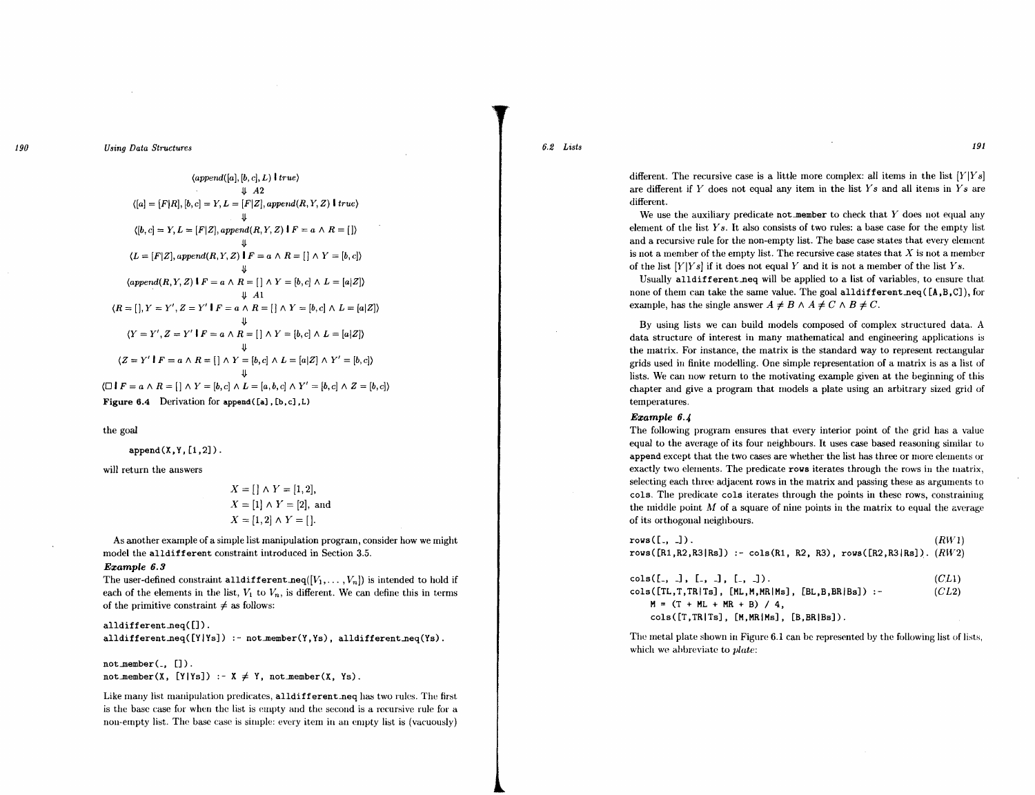*190* Using Data Structures

 $\langle append([a],[b,c],L)$  *true*)  $\downarrow$  *A*2  $\langle [a] = [F|R], [b, c] = Y, L = [F|Z], append(R, Y, Z)$  *l* true)  $\langle [b, c] = Y, L = [F|Z], append(R, Y, Z) \mid F = a \land R = []\rangle$  $\mathcal{L} = [F|Z], append(R, Y, Z)$   $\stackrel{\Psi}{\downarrow}F = a \wedge R = [\;] \wedge Y = [b, c])$  $\text{{\char'13em /q}\normalsize \begin{align*} \text{{\char'13em /p}\normalsize \text{{\char'13em /p}\normalsize \text{{\char'13em /p}\normalsize}}\ \text{{\char'13em /p}\normalsize \text{{\char'13em /p}\normalsize \text{{\char'13em /p}\normalsize \text{{\char'13em /p}\normalsize \text{{\char'13em /p}\normalsize}}\ \text{{\char'13em /p}\normalsize \text{{\char'13em /p}\normalsize \text{{\char'13em /p}\normalsize}}\ \text{{\char'13em /p}\normalsize \text{{\char'13em /p}\norm$ .lJ. *Al*   $(R = []$ ,  $Y = Y', Z = Y' \mid F = a \land R = [] \land Y = [b, c] \land L = [a|Z]$  $\overline{Y}$ <br>  $\overline{Y}$   $\overline{Y}'$ ,  $\overline{Z} = \overline{Y}' \cdot \overline{I}$   $F = a \wedge R = [] \wedge Y = [b, c] \wedge L = [a|Z]$  $(Z = Y' | F = a \wedge R = [\ ] \wedge Y = [b, c] \wedge L = [a|Z] \wedge Y' = [b, c])$  $\mathbf v$  $\langle \Box \mathbf{1} F = a \land R = [\ ] \land Y = [b, c] \land L = [a, b, c] \land Y' = [b, c] \land Z = [b, c] \rangle$ Figure  $6.4$  Derivation for append  $([a], [b, c], L)$ 

the goal

 $append(X,Y,[1,2])$ .

will return the answers

$$
X = [1] \land Y = [1, 2],
$$
  
\n
$$
X = [1] \land Y = [2],
$$
 and  
\n
$$
X = [1, 2] \land Y = [].
$$

*x* = [J /\ 1" = [1,2]'

As another example of a simple list manipulation program, consider how we might model the alldifferent constraint introduced in Section 3.5.

### Ezample 6.3

The user-defined constraint alldifferent.neq( $[V_1, \ldots, V_n]$ ) is intended to hold if each of the elements in the list,  $V_1$  to  $V_n$ , is different. We can define this in terms of the primitive constraint  $\neq$  as follows:

alldifferent\_neq([]). alldifferent\_neq( $[Y|Ys]$ ) :- not\_member(Y,Ys), alldifferent\_neq(Ys).

 $not$ \_member $($ . []).  $not$ \member(X, [Y|Ys]) :- X  $\neq$  Y, not member(X, Ys).

Like many list manipulation predicates, alldifferent\_neq has two rules. The first is the base case for when the list is empty and the second is a recursive rule for a non-empty list. The base case is simple: every item in an empty list is (vacuously)  $6.2$  Lists 191

different. The recursive case is a little more complex: all items in the list  $[Y|Ys]$ are different if Y does not equal any item in the list  $Y_s$  and all items in  $Y_s$  are different.

We use the auxiliary predicate not member to check that  $Y$  does not equal any element of the list  $Ys$ . It also consists of two rules: a base case for the empty list and a recursive rule for the non-empty list. The base case states that every element is not a member of the empty list. The recursive case states that  $X$  is not a member of the list  $[Y|Ys]$  if it does not equal Y and it is not a member of the list  $Ys$ .

Usually all different neq will be applied to a list of variables, to ensure that none of them can take the same value. The goal alldifferent  $neq ([A, B, C])$ , for example, has the single answer  $A \neq B \land A \neq C \land B \neq C$ .

By using lists we can build models composed of complex structured data. A data structure of interest in many mathematical and engineering applications is the matrix. For instance, the matrix is the standard way to represent rectangular grids used in finite modelling. One simple representation of a matrix is as a list of lists. We can now return to the motivating example given at the beginning of this chapter and give a program that models a plate using an arbitrary sized grid of temperatures.

# Ezample 6.4

The following program ensures that every interior point of the grid has a value equal to the average of its four neighbours. It uses case based reasoning similar to append except that the two cases are whether the list has three or more clements or exactly two clements. The predicate rows iterates through the rows in the matrix, selecting each three adjacent rows in the matrix and passing these as arguments to cols. The predicate cols iterates through the points in these rows, constraining the middle point  $M$  of a square of nine points in the matrix to equal the average of its orthogonal neighbours.

| $rows([., \_])$ .<br>rows( $[R1, R2, R3   Rs]$ ) :- cols(R1, R2, R3), rows( $[R2, R3   Rs]$ ). $(RW2)$                         | (RW1)          |
|--------------------------------------------------------------------------------------------------------------------------------|----------------|
| $\text{cols}([., .], [., .], [., .]).$<br>$cols([TL,T,TR Ts], [ML,M,MR Ms], [BL,B,BR Bs])$ :-<br>$M = (T + ML + MR + B) / 4$ , | (CL1)<br>(CL2) |

 $cols([T,TR|Ts], [M,MR|Ms], [B,BR|Bs]).$ 

The metal plate shown in Figure 6.1 can be represented by the following list of lists, which we ahbreviate to *plate:*